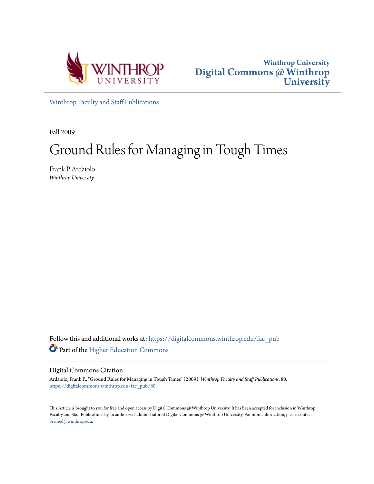



[Winthrop Faculty and Staff Publications](https://digitalcommons.winthrop.edu/fac_pub?utm_source=digitalcommons.winthrop.edu%2Ffac_pub%2F80&utm_medium=PDF&utm_campaign=PDFCoverPages)

Fall 2009

# Ground Rules for Managing in Tough Times

Frank P. Ardaiolo *Winthrop University*

Follow this and additional works at: [https://digitalcommons.winthrop.edu/fac\\_pub](https://digitalcommons.winthrop.edu/fac_pub?utm_source=digitalcommons.winthrop.edu%2Ffac_pub%2F80&utm_medium=PDF&utm_campaign=PDFCoverPages) Part of the [Higher Education Commons](http://network.bepress.com/hgg/discipline/1245?utm_source=digitalcommons.winthrop.edu%2Ffac_pub%2F80&utm_medium=PDF&utm_campaign=PDFCoverPages)

#### Digital Commons Citation

Ardaiolo, Frank P., "Ground Rules for Managing in Tough Times" (2009). *Winthrop Faculty and Staff Publications*. 80. [https://digitalcommons.winthrop.edu/fac\\_pub/80](https://digitalcommons.winthrop.edu/fac_pub/80?utm_source=digitalcommons.winthrop.edu%2Ffac_pub%2F80&utm_medium=PDF&utm_campaign=PDFCoverPages)

This Article is brought to you for free and open access by Digital Commons @ Winthrop University. It has been accepted for inclusion in Winthrop Faculty and Staff Publications by an authorized administrator of Digital Commons @ Winthrop University. For more information, please contact [bramed@winthrop.edu.](mailto:bramed@winthrop.edu)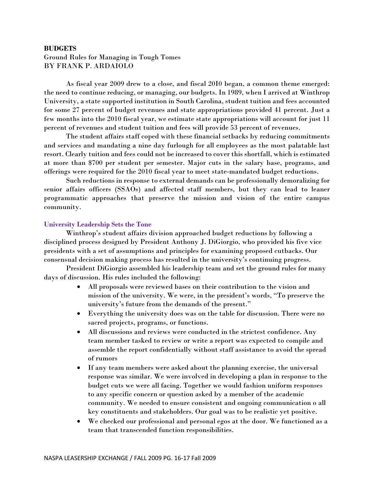# **BUDGETS** Ground Rules for Managing in Tough Tomes BY FRANK P. ARDAIOLO

As fiscal year 2009 drew to a close, and fiscal 20I0 began, a common theme emerged: the need to continue reducing, or managing, our budgets. In 1989, when I arrived at Winthrop University, a state supported institution in South Carolina, student tuition and fees accounted for some 27 percent of budget revenues and state appropriations provided 41 percent. Just a few months into the 2010 fiscal year, we estimate state appropriations will account for just 11 percent of revenues and student tuition and fees will provide 53 percent of revenues.

The student affairs staff coped with these financial setbacks by reducing commitments and services and mandating a nine day furlough for all employees as the most palatable last resort. Clearly tuition and fees could not be increased to cover this shortfall, which is estimated at more than \$700 per student per semester. Major cuts in the salary base, programs, and offerings were required for the 2010 fiscal year to meet state-mandated budget reductions.

Such reductions in response to external demands can be professionally demoralizing for senior affairs officers (SSAOs) and affected staff members, but they can lead to leaner programmatic approaches that preserve the mission and vision of the entire campus community.

## **University Leadership Sets the Tone**

Winthrop's student affairs division approached budget reductions by following a disciplined process designed by President Anthony J. DiGiorgio, who provided his five vice presidents with a set of assumptions and principles for examining proposed cutbacks. Our consensual decision making process has resulted in the university's continuing progress.

President DiGiorgio assembled his leadership team and set the ground rules for many days of discussion. His rules included the following:

- All proposals were reviewed bases on their contribution to the vision and mission of the university. We were, in the president's words, "To preserve the university's future from the demands of the present."
- Everything the university does was on the table for discussion. There were no sacred projects, programs, or functions.
- All discussions and reviews were conducted in the strictest confidence. Any team member tasked to review or write a report was expected to compile and assemble the report confidentially without staff assistance to avoid the spread of rumors
- If any team members were asked about the planning exercise, the universal response was similar. We were involved in developing a plan in response to the budget cuts we were all facing. Together we would fashion uniform responses to any specific concern or question asked by a member of the academic community. We needed to ensure consistent and ongoing communication o all key constituents and stakeholders. Our goal was to be realistic yet positive.
- We checked our professional and personal egos at the door. We functioned as a team that transcended function responsibilities.